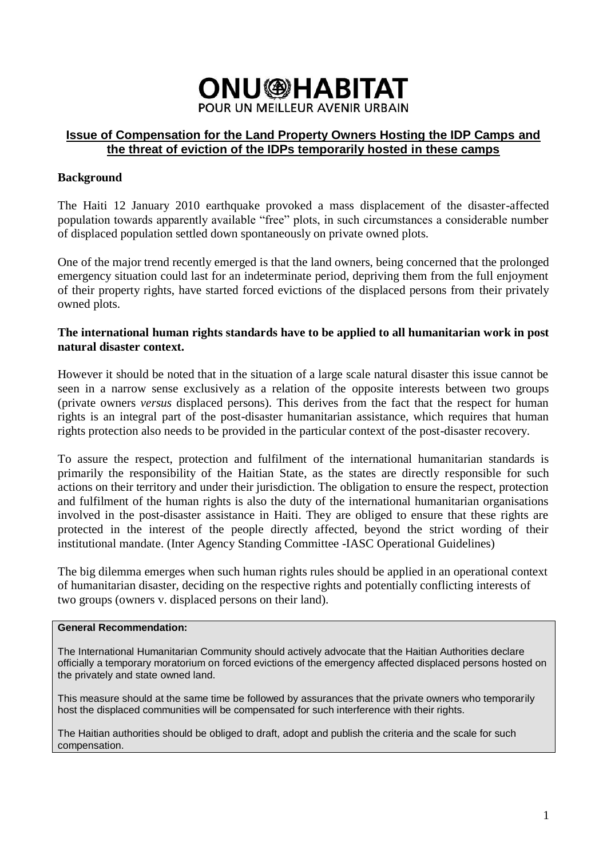

## **Issue of Compensation for the Land Property Owners Hosting the IDP Camps and the threat of eviction of the IDPs temporarily hosted in these camps**

## **Background**

The Haiti 12 January 2010 earthquake provoked a mass displacement of the disaster-affected population towards apparently available "free" plots, in such circumstances a considerable number of displaced population settled down spontaneously on private owned plots.

One of the major trend recently emerged is that the land owners, being concerned that the prolonged emergency situation could last for an indeterminate period, depriving them from the full enjoyment of their property rights, have started forced evictions of the displaced persons from their privately owned plots.

### **The international human rights standards have to be applied to all humanitarian work in post natural disaster context.**

However it should be noted that in the situation of a large scale natural disaster this issue cannot be seen in a narrow sense exclusively as a relation of the opposite interests between two groups (private owners *versus* displaced persons). This derives from the fact that the respect for human rights is an integral part of the post-disaster humanitarian assistance, which requires that human rights protection also needs to be provided in the particular context of the post-disaster recovery.

To assure the respect, protection and fulfilment of the international humanitarian standards is primarily the responsibility of the Haitian State, as the states are directly responsible for such actions on their territory and under their jurisdiction. The obligation to ensure the respect, protection and fulfilment of the human rights is also the duty of the international humanitarian organisations involved in the post-disaster assistance in Haiti. They are obliged to ensure that these rights are protected in the interest of the people directly affected, beyond the strict wording of their institutional mandate. (Inter Agency Standing Committee -IASC Operational Guidelines)

The big dilemma emerges when such human rights rules should be applied in an operational context of humanitarian disaster, deciding on the respective rights and potentially conflicting interests of two groups (owners v. displaced persons on their land).

#### **General Recommendation:**

The International Humanitarian Community should actively advocate that the Haitian Authorities declare officially a temporary moratorium on forced evictions of the emergency affected displaced persons hosted on the privately and state owned land.

This measure should at the same time be followed by assurances that the private owners who temporarily host the displaced communities will be compensated for such interference with their rights.

The Haitian authorities should be obliged to draft, adopt and publish the criteria and the scale for such compensation.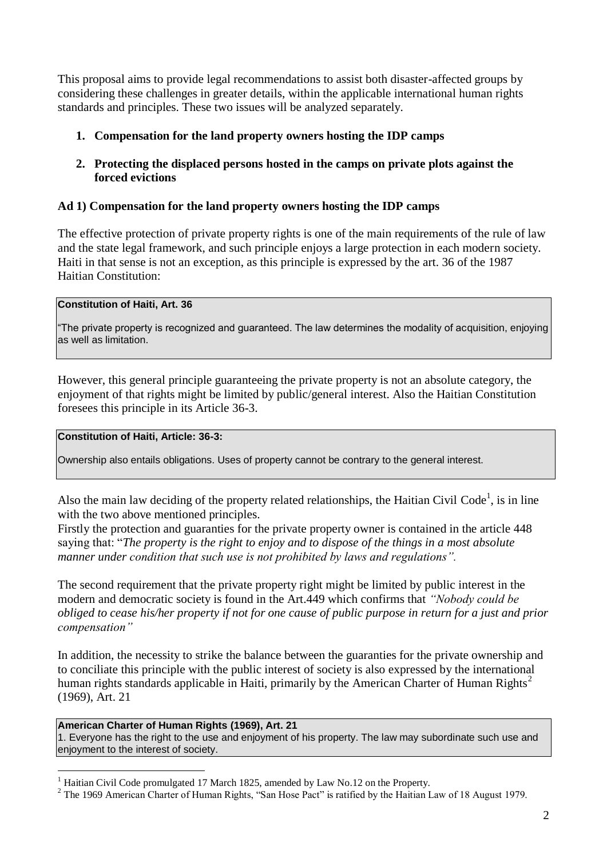This proposal aims to provide legal recommendations to assist both disaster-affected groups by considering these challenges in greater details, within the applicable international human rights standards and principles. These two issues will be analyzed separately.

## **1. Compensation for the land property owners hosting the IDP camps**

## **2. Protecting the displaced persons hosted in the camps on private plots against the forced evictions**

## **Ad 1) Compensation for the land property owners hosting the IDP camps**

The effective protection of private property rights is one of the main requirements of the rule of law and the state legal framework, and such principle enjoys a large protection in each modern society. Haiti in that sense is not an exception, as this principle is expressed by the art. 36 of the 1987 Haitian Constitution:

### **Constitution of Haiti, Art. 36**

"The private property is recognized and guaranteed. The law determines the modality of acquisition, enjoying as well as limitation.

However, this general principle guaranteeing the private property is not an absolute category, the enjoyment of that rights might be limited by public/general interest. Also the Haitian Constitution foresees this principle in its Article 36-3.

#### **Constitution of Haiti, Article: 36-3:**

Ownership also entails obligations. Uses of property cannot be contrary to the general interest.

Also the main law deciding of the property related relationships, the Haitian Civil Code<sup>1</sup>, is in line with the two above mentioned principles.

Firstly the protection and guaranties for the private property owner is contained in the article 448 saying that: "*The property is the right to enjoy and to dispose of the things in a most absolute manner under condition that such use is not prohibited by laws and regulations".*

The second requirement that the private property right might be limited by public interest in the modern and democratic society is found in the Art.449 which confirms that *"Nobody could be obliged to cease his/her property if not for one cause of public purpose in return for a just and prior compensation"*

In addition, the necessity to strike the balance between the guaranties for the private ownership and to conciliate this principle with the public interest of society is also expressed by the international human rights standards applicable in Haiti, primarily by the American Charter of Human Rights<sup>2</sup> (1969), Art. 21

### **American Charter of Human Rights (1969), Art. 21**

<u>.</u>

1. Everyone has the right to the use and enjoyment of his property. The law may subordinate such use and enjoyment to the interest of society.

Haitian Civil Code promulgated 17 March 1825, amended by Law No.12 on the Property.

<sup>&</sup>lt;sup>2</sup> The 1969 American Charter of Human Rights, "San Hose Pact" is ratified by the Haitian Law of 18 August 1979.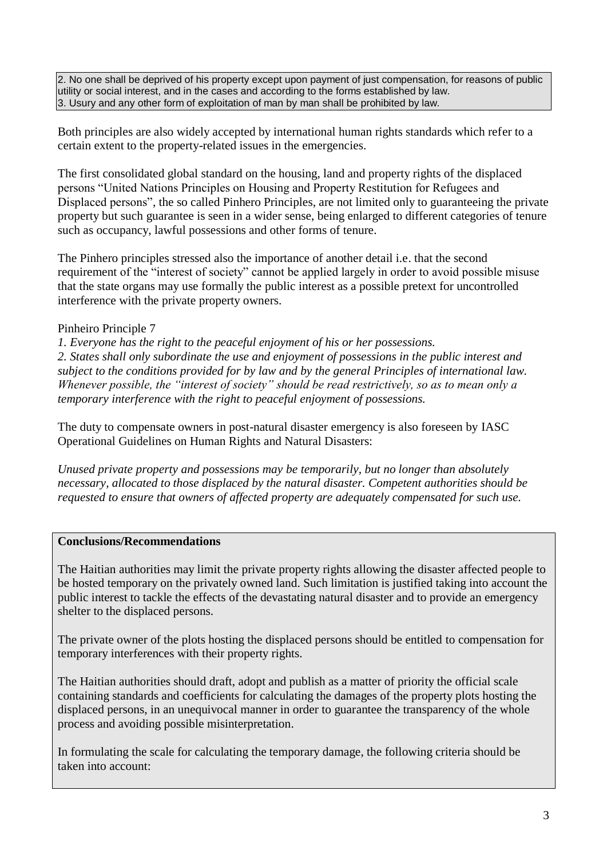2. No one shall be deprived of his property except upon payment of just compensation, for reasons of public utility or social interest, and in the cases and according to the forms established by law. 3. Usury and any other form of exploitation of man by man shall be prohibited by law.

Both principles are also widely accepted by international human rights standards which refer to a certain extent to the property-related issues in the emergencies.

The first consolidated global standard on the housing, land and property rights of the displaced persons "United Nations Principles on Housing and Property Restitution for Refugees and Displaced persons", the so called Pinhero Principles, are not limited only to guaranteeing the private property but such guarantee is seen in a wider sense, being enlarged to different categories of tenure such as occupancy, lawful possessions and other forms of tenure.

The Pinhero principles stressed also the importance of another detail i.e. that the second requirement of the "interest of society" cannot be applied largely in order to avoid possible misuse that the state organs may use formally the public interest as a possible pretext for uncontrolled interference with the private property owners.

## Pinheiro Principle 7

*1. Everyone has the right to the peaceful enjoyment of his or her possessions. 2. States shall only subordinate the use and enjoyment of possessions in the public interest and subject to the conditions provided for by law and by the general Principles of international law. Whenever possible, the "interest of society" should be read restrictively, so as to mean only a temporary interference with the right to peaceful enjoyment of possessions.*

The duty to compensate owners in post-natural disaster emergency is also foreseen by IASC Operational Guidelines on Human Rights and Natural Disasters:

*Unused private property and possessions may be temporarily, but no longer than absolutely necessary, allocated to those displaced by the natural disaster. Competent authorities should be requested to ensure that owners of affected property are adequately compensated for such use.* 

## **Conclusions/Recommendations**

The Haitian authorities may limit the private property rights allowing the disaster affected people to be hosted temporary on the privately owned land. Such limitation is justified taking into account the public interest to tackle the effects of the devastating natural disaster and to provide an emergency shelter to the displaced persons.

The private owner of the plots hosting the displaced persons should be entitled to compensation for temporary interferences with their property rights.

The Haitian authorities should draft, adopt and publish as a matter of priority the official scale containing standards and coefficients for calculating the damages of the property plots hosting the displaced persons, in an unequivocal manner in order to guarantee the transparency of the whole process and avoiding possible misinterpretation.

In formulating the scale for calculating the temporary damage, the following criteria should be taken into account: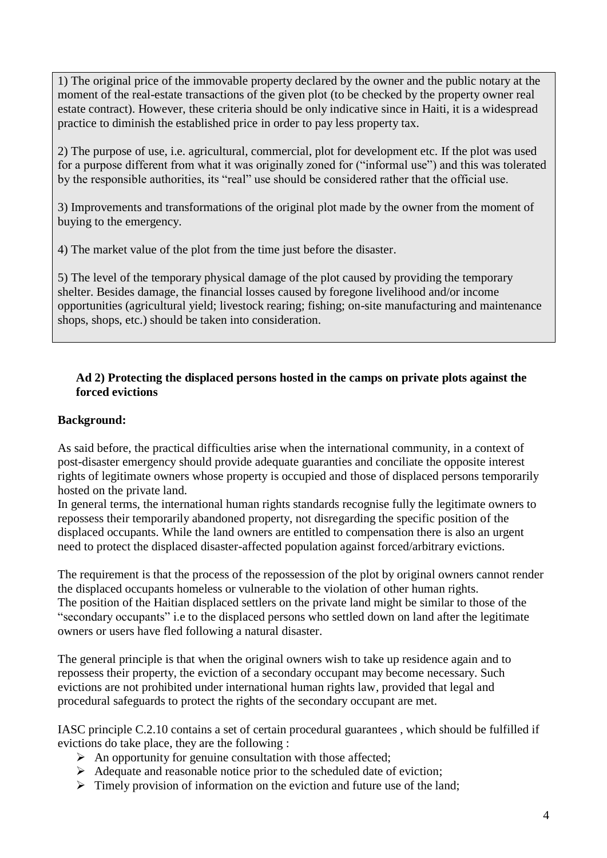1) The original price of the immovable property declared by the owner and the public notary at the moment of the real-estate transactions of the given plot (to be checked by the property owner real estate contract). However, these criteria should be only indicative since in Haiti, it is a widespread practice to diminish the established price in order to pay less property tax.

2) The purpose of use, i.e. agricultural, commercial, plot for development etc. If the plot was used for a purpose different from what it was originally zoned for ("informal use") and this was tolerated by the responsible authorities, its "real" use should be considered rather that the official use.

3) Improvements and transformations of the original plot made by the owner from the moment of buying to the emergency.

4) The market value of the plot from the time just before the disaster.

5) The level of the temporary physical damage of the plot caused by providing the temporary shelter. Besides damage, the financial losses caused by foregone livelihood and/or income opportunities (agricultural yield; livestock rearing; fishing; on-site manufacturing and maintenance shops, shops, etc.) should be taken into consideration.

## **Ad 2) Protecting the displaced persons hosted in the camps on private plots against the forced evictions**

# **Background:**

As said before, the practical difficulties arise when the international community, in a context of post-disaster emergency should provide adequate guaranties and conciliate the opposite interest rights of legitimate owners whose property is occupied and those of displaced persons temporarily hosted on the private land.

In general terms, the international human rights standards recognise fully the legitimate owners to repossess their temporarily abandoned property, not disregarding the specific position of the displaced occupants. While the land owners are entitled to compensation there is also an urgent need to protect the displaced disaster-affected population against forced/arbitrary evictions.

The requirement is that the process of the repossession of the plot by original owners cannot render the displaced occupants homeless or vulnerable to the violation of other human rights. The position of the Haitian displaced settlers on the private land might be similar to those of the "secondary occupants" i.e to the displaced persons who settled down on land after the legitimate owners or users have fled following a natural disaster.

The general principle is that when the original owners wish to take up residence again and to repossess their property, the eviction of a secondary occupant may become necessary. Such evictions are not prohibited under international human rights law*,* provided that legal and procedural safeguards to protect the rights of the secondary occupant are met.

IASC principle C.2.10 contains a set of certain procedural guarantees , which should be fulfilled if evictions do take place, they are the following :

- $\triangleright$  An opportunity for genuine consultation with those affected;
- Adequate and reasonable notice prior to the scheduled date of eviction;
- $\triangleright$  Timely provision of information on the eviction and future use of the land;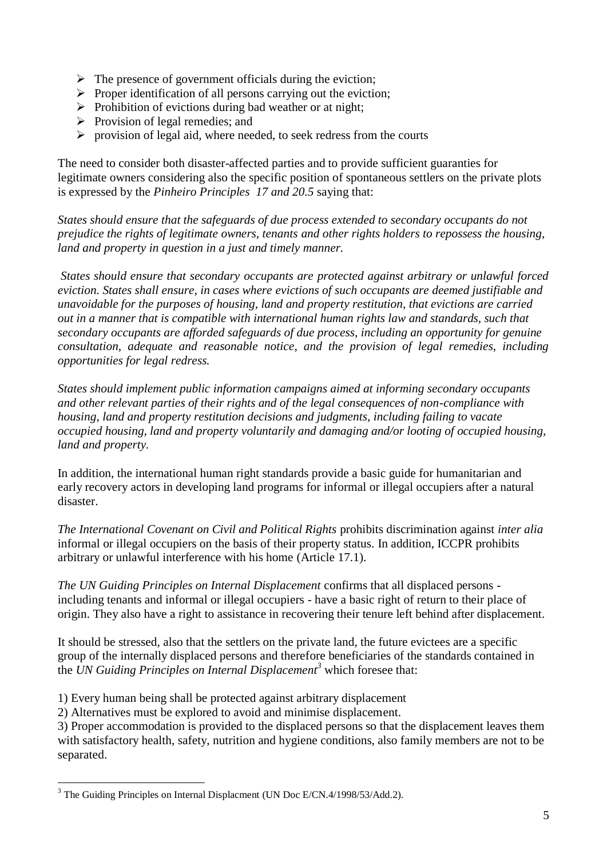- $\triangleright$  The presence of government officials during the eviction;
- $\triangleright$  Proper identification of all persons carrying out the eviction;
- $\triangleright$  Prohibition of evictions during bad weather or at night;
- $\triangleright$  Provision of legal remedies; and
- $\triangleright$  provision of legal aid, where needed, to seek redress from the courts

The need to consider both disaster-affected parties and to provide sufficient guaranties for legitimate owners considering also the specific position of spontaneous settlers on the private plots is expressed by the *Pinheiro Principles 17 and 20.5* saying that:

*States should ensure that the safeguards of due process extended to secondary occupants do not prejudice the rights of legitimate owners, tenants and other rights holders to repossess the housing, land and property in question in a just and timely manner.*

*States should ensure that secondary occupants are protected against arbitrary or unlawful forced eviction. States shall ensure, in cases where evictions of such occupants are deemed justifiable and unavoidable for the purposes of housing, land and property restitution, that evictions are carried out in a manner that is compatible with international human rights law and standards, such that secondary occupants are afforded safeguards of due process, including an opportunity for genuine consultation, adequate and reasonable notice, and the provision of legal remedies, including opportunities for legal redress.*

*States should implement public information campaigns aimed at informing secondary occupants and other relevant parties of their rights and of the legal consequences of non-compliance with housing, land and property restitution decisions and judgments, including failing to vacate occupied housing, land and property voluntarily and damaging and/or looting of occupied housing, land and property.*

In addition, the international human right standards provide a basic guide for humanitarian and early recovery actors in developing land programs for informal or illegal occupiers after a natural disaster.

*The International Covenant on Civil and Political Rights* prohibits discrimination against *inter alia* informal or illegal occupiers on the basis of their property status. In addition, ICCPR prohibits arbitrary or unlawful interference with his home (Article 17.1).

*The UN Guiding Principles on Internal Displacement* confirms that all displaced persons including tenants and informal or illegal occupiers - have a basic right of return to their place of origin. They also have a right to assistance in recovering their tenure left behind after displacement.

It should be stressed, also that the settlers on the private land, the future evictees are a specific group of the internally displaced persons and therefore beneficiaries of the standards contained in the *UN Guiding Principles on Internal Displacement<sup>3</sup>* which foresee that:

- 1) Every human being shall be protected against arbitrary displacement
- 2) Alternatives must be explored to avoid and minimise displacement.

3) Proper accommodation is provided to the displaced persons so that the displacement leaves them with satisfactory health, safety, nutrition and hygiene conditions, also family members are not to be separated.

<u>.</u>

<sup>&</sup>lt;sup>3</sup> The Guiding Principles on Internal Displacment (UN Doc E/CN.4/1998/53/Add.2).